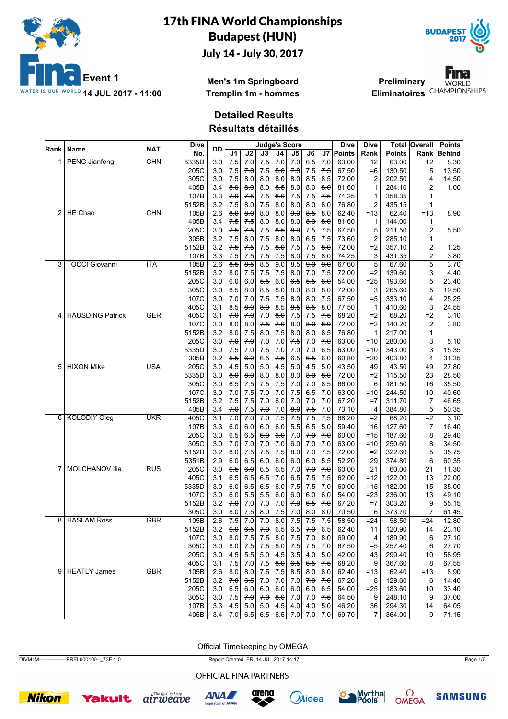



**Men's 1m Springboard Tremplin 1m - hommes**

**Preliminary** Eliminatoires<sup>CHAMPIONSHIPS</sup>



**Detailed Results**

**Résultats détaillés**

| Rank           | Name                    | <b>NAT</b> | Dive  | <b>DD</b> |           |                     |                 |                     | <b>Judge's Score</b>  |         |                     | <b>Dive</b> | Dive            |               | Total Overall    | <b>Points</b> |
|----------------|-------------------------|------------|-------|-----------|-----------|---------------------|-----------------|---------------------|-----------------------|---------|---------------------|-------------|-----------------|---------------|------------------|---------------|
|                |                         |            | No.   |           | J1        | J2                  | J3              | J4                  | J5                    | J6      |                     | J7   Points | Rank            | <b>Points</b> | Rank             | <b>Behind</b> |
|                | <b>PENG Jianfeng</b>    | <b>CHN</b> | 5335D | 3.0       | $7-5$     | 70                  | $7-5$           | 7.0                 | 7.0                   | $6-5$   | 7.0                 | 63.00       | 12              | 63.00         | 12               | 8.30          |
|                |                         |            | 205C  | 3.0       | 7.5       | 7.0                 | 7.5             | 8.0                 | 7.0                   | 7.5     | 7.5                 | 67.50       | $=6$            | 130.50        | 5                | 13.50         |
|                |                         |            | 305C  | 3.0       | 7.5       | 8.0                 | 8.0             | 8.0                 | 8.0                   | 8.5     | 8.5                 | 72.00       | 2               | 202.50        | 4                | 14.50         |
|                |                         |            | 405B  | 3.4       | $8\theta$ | $\theta$ . $\theta$ | 8.0             | 8.5                 | 8.0                   | 8.0     | 8.0                 | 81.60       | 1               | 284.10        | 2                | 1.00          |
|                |                         |            | 107B  | 3.3       | 7.0       | 7.5                 | 7.5             | $\theta$ . $\theta$ | 7.5                   | 7.5     | 7.5                 | 74.25       | 1               | 358.35        | 1                |               |
|                |                         |            | 5152B | 3.2       | 7.5       | 8.0                 | 7.5             | 8.0                 | 8.0                   | 8.0     | 8.0                 | 76.80       | 2               | 435.15        | 1                |               |
| $\overline{2}$ | HE Chao                 | <b>CHN</b> | 105B  | 2.6       | 80        | $\theta$ $\theta$   | 8.0             | 8.0                 | 9.0                   | 8.5     | 8.0                 | 62.40       | $=13$           | 62.40         | $=13$            | 8.90          |
|                |                         |            | 405B  | 3.4       | 7.5       | 7.5                 | 8.0             | 8.0                 | 8.0                   | 8.0     | $\theta$ . $\theta$ | 81.60       | 1               | 144.00        | 1                |               |
|                |                         |            | 205C  | 3.0       | 7.5       | 7.5                 | 7.5             | 8.5                 | 8.0                   | 7.5     | 7.5                 | 67.50       | 5               | 211.50        | 2                | 5.50          |
|                |                         |            | 305B  | 3.2       | 7.5       | 8.0                 | 7.5             | 8.0                 | 8.0                   | 6.5     | 7.5                 | 73.60       | 2               | 285.10        | 1                |               |
|                |                         |            | 5152B | 3.2       | 7.5       | 7.5                 | 7.5             | $\theta$ . $\theta$ | 7.5                   | 7.5     | $\theta$ . $\theta$ | 72.00       | $=2$            | 357.10        | 2                | 1.25          |
|                |                         |            | 107B  | 3.3       | 7.5       | 7.5                 | 7.5             | 7.5                 | 8.0                   | 7.5     | 8.0                 | 74.25       | 3               | 431.35        | $\boldsymbol{2}$ | 3.80          |
| 3              | <b>TOCCI Giovanni</b>   | <b>ITA</b> | 105B  | 2.6       | $8-5$     | 8.5                 | 8.5             | 9.0                 | 8.5                   | 9.0     | 9.0                 | 67.60       | 5               | 67.60         | 5                | 3.70          |
|                |                         |            | 5152B | 3.2       | 8.0       | 7.5                 | 7.5             | 7.5                 | $\theta$ : $\theta$   | 7.0     | 7.5                 | 72.00       | $=2$            | 139.60        | 3                | 4.40          |
|                |                         |            | 205C  | 3.0       | 6.0       | 6.0                 | 5.5             | 6.0                 | 6.5                   | 5.5     | 6.0                 | 54.00       | $= 25$          | 193.60        | 5                | 23.40         |
|                |                         |            | 305C  | 3.0       | $8-5$     | $\theta$ . $\theta$ | 8.5             | 8.0                 | 8.0                   | 8.0     | 8.0                 | 72.00       | 3               | 265.60        | 5                | 19.50         |
|                |                         |            | 107C  | 3.0       | 7.0       | 70                  | 7.5             | 7.5                 | 8.0                   | 8.0     | 7.5                 | 67.50       | $= 5$           | 333.10        | 4                | 25.25         |
|                |                         |            | 405C  | 3.1       | 8.5       | 8.0                 | 8.0             | 8.5                 | 8.5                   | 8.5     | 8.0                 | 77.50       | 1               | 410.60        | 3                | 24.55         |
| 4              | <b>HAUSDING Patrick</b> | <b>GER</b> | 405C  | 3.1       | 70        | 70                  | 7.0             | 8.0                 | 7.5                   | 7.5     | $7-5$               | 68.20       | $=2$            | 68.20         | $=2$             | 3.10          |
|                |                         |            | 107C  | 3.0       |           |                     | 7.5             |                     |                       |         | $\theta$ . $\theta$ | 72.00       | $=2$            | 140.20        |                  |               |
|                |                         |            |       |           | 8.0       | 8.0                 |                 | 7.0                 | 8.0                   | 8.0     |                     | 76.80       |                 |               | 2                | 3.80          |
|                |                         |            | 5152B | 3.2       | 8.0       | 7.5                 | 8.0             | 7.5                 | 8.0                   | 8.0     | 8.5                 |             | 1               | 217.00        | $\mathbf{1}$     |               |
|                |                         |            | 205C  | 3.0       | 70        | 70                  | 7.0             | 7.0                 | 7.5                   | $7.0\,$ | 7.0                 | 63.00       | $=10$           | 280.00        | 3                | 5.10          |
|                |                         |            | 5335D | 3.0       | 7.5       | 70                  | $7-5$           | 7.0                 | 7.0                   | 7.0     | 6.5                 | 63.00       | $=10$           | 343.00        | 3                | 15.35         |
|                |                         |            | 305B  | 3.2       | 5.5       | 6.0                 | 6.5             | 7.5                 | 6.5                   | 6.5     | 6.0                 | 60.80       | $= 20$          | 403.80        | 4                | 31.35         |
| 5              | <b>HIXON Mike</b>       | <b>USA</b> | 205C  | 3.0       | 4.5       | 5.0                 | 5.0             | 4.5                 | 50                    | 4.5     | $\overline{50}$     | 43.50       | 49              | 43.50         | 49               | 27.80         |
|                |                         |            | 5335D | 3.0       | 8.0       | $\theta$ . $\theta$ | 8.0             | 8.0                 | 8.0                   | 8.0     | $\theta$ . $\theta$ | 72.00       | $=2$            | 115.50        | 23               | 28.50         |
|                |                         |            | 305C  | 3.0       | 6.5       | 7.5                 | 7.5             | 7.5                 | 7.0                   | 7.0     | 8.5                 | 66.00       | 6               | 181.50        | 16               | 35.50         |
|                |                         |            | 107C  | 3.0       | 70        | 7.5                 | 7.0             | 7.0                 | 7.5                   | 6.5     | 7.0                 | 63.00       | $=10$           | 244.50        | 10               | 40.60         |
|                |                         |            | 5152B | 3.2       | 7.5       | 7.5                 | 70              | 6.0                 | 7.0                   | 7.0     | 7.0                 | 67.20       | $=7$            | 311.70        | $\overline{7}$   | 46.65         |
|                |                         |            | 405B  | 3.4       | 7.0       | 7.5                 | 7.0             | 7.0                 | 8.0                   | 7.5     | 7.0                 | 73.10       | 4               | 384.80        | 5                | 50.35         |
| 6              | <b>KOLODIY Oleg</b>     | <b>UKR</b> | 405C  | 3.1       | 70        | 70                  | 7.0             | 7.5                 | 7.5                   | 7.5     | $7-5$               | 68.20       | $=2$            | 68.20         | $=2$             | 3.10          |
|                |                         |            | 107B  | 3.3       | $6.0\,$   | 6.0                 | 6.0             | 6.0                 | 5.5                   | 6.5     | 5.0                 | 59.40       | 16              | 127.60        | $\overline{7}$   | 16.40         |
|                |                         |            | 205C  | 3.0       | 6.5       | 6.5                 | 6.0             | 6.0                 | 7.0                   | 7.0     | 7.0                 | 60.00       | =15             | 187.60        | 8                | 29.40         |
|                |                         |            | 305C  | 3.0       | 70        | 7.0                 | 7.0             | 7.0                 | 6.0                   | 70      | 7.0                 | 63.00       | $=10$           | 250.60        | 8                | 34.50         |
|                |                         |            | 5152B | 3.2       | 8.0       | 7.5                 | 7.5             | 7.5                 | 8.0                   | 70      | 7.5                 | 72.00       | $=2$            | 322.60        | 5                | 35.75         |
|                |                         |            | 5351B | 2.9       | 6.0       | 6.5                 | 6.0             | 6.0                 | 6.0                   | 6.0     | 5.5                 | 52.20       | 29              | 374.80        | 6                | 60.35         |
| 7              | <b>MOLCHANOV Ilia</b>   | <b>RUS</b> | 205C  | 3.0       | $6-5$     | 60                  | 6.5             | 6.5                 | 7.0                   | 70      | 7.0                 | 60.00       | $\overline{21}$ | 60.00         | $\overline{21}$  | 11.30         |
|                |                         |            | 405C  | 3.1       | 6.5       | 6.5                 | 6.5             | 7.0                 | 6.5                   | 7.5     | $7-5$               | 62.00       | $=12$           | 122.00        | 13               | 22.00         |
|                |                         |            | 5335D | 3.0       | 6.0       | 6.5                 | 6.5             | 6.0                 | 7.5                   | 7.5     | 7.0                 | 60.00       | =15             | 182.00        | 15               | 35.00         |
|                |                         |            | 107C  | 3.0       | 6.0       | 5.5                 | 5.5             | 6.0                 | 6.0                   | 6.0     | 6.0                 | 54.00       | $= 23$          | 236.00        | 13               | 49.10         |
|                |                         |            | 5152B | 3.2       | 70        | 7.0                 | 7.0             | 7.0                 | 7.0                   | 6.5     | 70                  | 67.20       | $=7$            | 303.20        | 9                | 55.15         |
|                |                         |            | 305C  | 3.0       | 8.0       | 7.5                 | 8.0             | 7.5                 | 7.0                   | 8.0     | 8.0                 | 70.50       | 6               | 373.70        | 7                | 61.45         |
|                | 8 HASLAM Ross           | <b>GBR</b> | 105B  | 2.6       | 7.5       | 70                  | 70              | 8.0                 | 7.5                   | 7.5     | 7.5                 | 58.50       | $= 24$          | 58.50         | $= 24$           | 12.80         |
|                |                         |            | 5152B | 3.2       |           | 6.0   6.5           |                 | 7.0 6.5             | 6.5                   | 7.0     | 6.5                 | 62.40       | 11              | 120.90        | 14               | 23.10         |
|                |                         |            | 107C  | 3.0       | 8.0       | 7.5                 | 7.5             | 8.0                 | 7.5                   | 70      | $\theta$ . $\theta$ | 69.00       | 4               | 189.90        | 6                | 27.10         |
|                |                         |            | 305C  | 3.0       | 8.0       | 7.5                 | 7.5             | $\theta$ . $\theta$ | 7.5                   | 7.5     | 70                  | 67.50       | $= 5$           | 257.40        | 6                | 27.70         |
|                |                         |            | 205C  | 3.0       | 4.5       | 5.5                 |                 | 5.0   4.5           | 3.5                   | 4.0     | 5.0                 | 42.00       | 43              | 299.40        | 10               | 58.95         |
|                |                         |            | 405C  | 3.1       | 7.5       | 7.0                 | 7.5             | $\theta$ . $\theta$ | 6.5                   | 6.5     | 7.5                 | 68.20       | 9               | 367.60        | 8                | 67.55         |
| 9              | <b>HEATLY James</b>     | GBR        | 105B  | 2.6       | 8.0       | 8.0                 | 7.5             | 7.5                 | 8.5                   | 8.0     | $\theta$ . $\theta$ | 62.40       | $=13$           | 62.40         | $=13$            | 8.90          |
|                |                         |            | 5152B | 3.2       | 7.0       | 6.5                 |                 | $7.0$ 7.0           | 7.0                   | 7.0     | 70                  | 67.20       | 8               | 129.60        | 6                | 14.40         |
|                |                         |            | 205C  | 3.0       | 6.5       | 6.0                 | 6.0             | 6.0                 | 6.0                   | 6.0     | 6.5                 | 54.00       | $= 25$          | 183.60        | 10               | 33.40         |
|                |                         |            | 305C  | 3.0       | 7.5       | 7.0                 | 7.0             | 8.0                 | 7.0                   | 7.0     | 7.5                 | 64.50       | 9               | 248.10        | 9                | 37.00         |
|                |                         |            | 107B  | 3.3       | 4.5       |                     | 5.0   5.0   4.5 |                     |                       | 4.0     | 5.0                 | 46.20       | 36              | 294.30        | 14               | 64.05         |
|                |                         |            |       |           |           |                     |                 |                     | 4.0                   |         |                     |             |                 |               |                  |               |
|                |                         |            | 405B  | 3.4       |           |                     |                 |                     | 7.0 $6.5$ 6.5 6.5 7.0 | 7.0     | 7.0                 | 69.70       | 7               | 364.00        | 9                | 71.15         |

Official Timekeeping by OMEGA

DIVM1M----------------PREL000100--\_73E 1.0 Report Created FRI 14 JUL 2017 14:17 Page 1/6

OFFICIAL FINA PARTNERS













**SAMSUNG**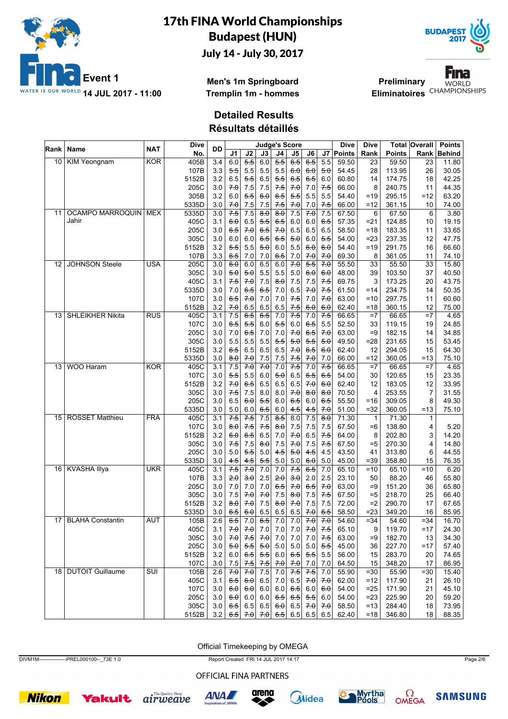



**Men's 1m Springboard Tremplin 1m - hommes**

**Preliminary** Eliminatoires<sup>CHAMPIONSHIPS</sup>



**Detailed Results**

**Résultats détaillés**

| Rank            | <b>Name</b>             | <b>NAT</b>              | <b>Dive</b> | DD               |       |           |       |                  | <b>Judge's Score</b> |         |         | <b>Dive</b>   | Dive            |               | Total Overall  | <b>Points</b> |
|-----------------|-------------------------|-------------------------|-------------|------------------|-------|-----------|-------|------------------|----------------------|---------|---------|---------------|-----------------|---------------|----------------|---------------|
|                 |                         |                         | No.         |                  | J1    | J2        | J3    | J4               | J5                   | J6      | J7 I    | <b>Points</b> | Rank            | <b>Points</b> | Rank           | <b>Behind</b> |
| 10              | <b>KIM Yeongnam</b>     | <b>KOR</b>              | 405B        | 3.4              | 6.0   | 5.5       | 6.0   | $5-5$            | 6.5                  | 6.5     | 5.5     | 59.50         | 23              | 59.50         | 23             | 11.80         |
|                 |                         |                         | 107B        | 3.3              | 5.5   | 5.5       | 5.5   | 5.5              | 6.0                  | 6.0     | 5.0     | 54.45         | 28              | 113.95        | 26             | 30.05         |
|                 |                         |                         | 5152B       | 3.2              | 6.5   | 5.5       | 6.5   | 5.5              | 6.5                  | 6.5     | 6.0     | 60.80         | 14              | 174.75        | 18             | 42.25         |
|                 |                         |                         | 205C        | 3.0              | 70    | 7.5       | 7.5   | 7.5              | 70                   | 7.0     | $7-5$   | 66.00         | 8               | 240.75        | 11             | 44.35         |
|                 |                         |                         | 305B        | 3.2              | 6.0   | 5.5       | 6.0   | 6.5              | 5.5                  | 5.5     | 5.5     | 54.40         | $=19$           | 295.15        | $=12$          | 63.20         |
|                 |                         |                         | 5335D       | 3.0              | 7.0   | 7.5       | 7.5   | 7.5              | 7.0                  | 7.0     | 7.5     | 66.00         | $=12$           | 361.15        | 10             | 74.00         |
| 11              | OCAMPO MARROQUIN   MEX  |                         | 5335D       | 3.0              | 7.5   | 7.5       | 80    | 8.0              | 7.5                  | 70      | 7.5     | 67.50         | 6               | 67.50         | 6              | 3.80          |
|                 | Jahir                   |                         | 405C        | 3.1              | 6.0   | 6.5       | 5.5   | 6.5              | 6.0                  | 6.0     | 6.5     | 57.35         | $= 21$          | 124.85        | 10             | 19.15         |
|                 |                         |                         | 205C        | 3.0              | 6.5   | 70        | 6.5   | 7.0              | 6.5                  | 6.5     | 6.5     | 58.50         | $=18$           | 183.35        | 11             | 33.65         |
|                 |                         |                         | 305C        | 3.0              | 6.0   | 6.0       | $6-5$ | 6.5              | 50                   | $6.0\,$ | 5.5     | 54.00         | $= 23$          | 237.35        | 12             | 47.75         |
|                 |                         |                         | 5152B       | 3.2              | 5.5   | 5.5       | 5.0   | 6.0              | 5.5                  | 6.0     | 6.0     | 54.40         | $=19$           | 291.75        | 16             | 66.60         |
|                 |                         |                         | 107B        | 3.3              | 6.5   | 7.0       | 7.0   | 6.5              | 7.0                  | 7.0     | 70      | 69.30         | 8               | 361.05        | 11             | 74.10         |
| 12              | <b>JOHNSON Steele</b>   | <b>USA</b>              | 205C        | 3.0              | 6.0   | 6.0       | 6.5   | 6.0              | 70                   | 5.5     | 70      | 55.50         | $\overline{33}$ | 55.50         | 33             | 15.80         |
|                 |                         |                         | 305C        | 3.0              | 5.0   | 5.0       | 5.5   | 5.5              | 5.0                  | 6.0     | 6.0     | 48.00         | 39              | 103.50        | 37             | 40.50         |
|                 |                         |                         | 405C        | 3.1              | 7.5   | 7.0       | 7.5   | 8.0              | 7.5                  | 7.5     | 7.5     | 69.75         | 3               | 173.25        | 20             | 43.75         |
|                 |                         |                         | 5335D       | 3.0              | 7.0   | 6.5       | 6.5   | 7.0              | 6.5                  | 7.0     | 7.5     | 61.50         | $=14$           | 234.75        | 14             | 50.35         |
|                 |                         |                         | 107C        | 3.0              | 6.5   | 70        | 7.0   | 7.0              | 7.5                  | 7.0     | 7.0     | 63.00         | $=10$           | 297.75        | 11             | 60.60         |
|                 |                         |                         | 5152B       | 3.2              | 7.0   | 6.5       | 6.5   | 6.5              | 7.5                  | 6.0     | 6.0     | 62.40         | $=18$           | 360.15        | 12             | 75.00         |
| 13 <sup>1</sup> | <b>SHLEIKHER Nikita</b> | <b>RUS</b>              | 405C        | 3.1              | 7.5   | 6.5       | $6-5$ | 7.0              | 7.5                  | 7.0     | 7.5     | 66.65         | $=7$            | 66.65         | $=7$           | 4.65          |
|                 |                         |                         | 107C        | 3.0              | 6.5   | 5.5       | 6.0   | 5.5              | 6.0                  | 6.5     | 5.5     | 52.50         | 33              | 119.15        | 19             | 24.85         |
|                 |                         |                         | 205C        | 3.0              | 7.0   | 6.5       | 7.0   | 7.0              | 7.0                  | 6.5     | 7.0     | 63.00         | $=9$            | 182.15        | 14             | 34.85         |
|                 |                         |                         | 305C        | 3.0              | 5.5   | 5.5       | 5.5   | 5.5              | 5.0                  | 5.5     | 5.0     | 49.50         | $= 28$          | 231.65        | 15             | 53.45         |
|                 |                         |                         | 5152B       | 3.2              | 6.5   | 6.5       | 6.5   | 6.5              | 7.0                  | 6.5     | 6.0     | 62.40         | 12              | 294.05        | 15             | 64.30         |
|                 |                         |                         | 5335D       | 3.0              | 8.0   | 7.0       | 7.5   | 7.5              | 7.5                  | 7.0     | 7.0     | 66.00         | $=12$           | 360.05        | $=13$          | 75.10         |
| 13              | <b>WOO Haram</b>        | <b>KOR</b>              | 405C        | 3.1              | 7.5   | 70        | 70    | 7.0              | 7.5                  | 7.0     | 7.5     | 66.65         | $=7$            | 66.65         | $=7$           | 4.65          |
|                 |                         |                         | 107C        | 3.0              | 5.5   | 5.5       | 6.0   | 5.0              | 6.5                  | 6.5     | 6.5     | 54.00         | 30              | 120.65        | 15             | 23.35         |
|                 |                         |                         | 5152B       | 3.2              | 7.0   | 6.5       | 6.5   | 6.5              | 6.5                  | 7.0     | 6.0     | 62.40         | 12              | 183.05        | 12             | 33.95         |
|                 |                         |                         | 305C        | 3.0              | $7-5$ | 7.5       | 8.0   | 8.0              | 7.0                  | 8.0     | 8.0     | 70.50         | $\overline{4}$  | 253.55        | $\overline{7}$ | 31.55         |
|                 |                         |                         | 205C        | 3.0              | 6.5   | 6.0       | 5.5   | 6.0              | 6.5                  | 6.0     | 6.5     | 55.50         | $= 16$          | 309.05        | 8              | 49.30         |
|                 |                         |                         | 5335D       | 3.0              | 5.0   | 6.0       | 6.5   | 6.0              | 4.5                  | 4.5     | 7.0     | 51.00         | $=32$           | 360.05        | $=13$          | 75.10         |
|                 | 15 ROSSET Matthieu      | <b>FRA</b>              | 405C        | 3.1              | 7.5   | 7.5       | 7.5   | $\overline{8.5}$ | 8.0                  | 7.5     | 8.0     | 71.30         | $\mathbf{1}$    | 71.30         | $\mathbf{1}$   |               |
|                 |                         |                         | 107C        | 3.0              | 8.0   | $7-5$     | 7.5   | 8.0              | 7.5                  | 7.5     | 7.5     | 67.50         | $=6$            | 138.80        | 4              | 5.20          |
|                 |                         |                         | 5152B       | 3.2              | 6.0   | 6.5       | 6.5   | 7.0              | 7.0                  | 6.5     | 7.5     | 64.00         | 8               | 202.80        | 3              | 14.20         |
|                 |                         |                         | 305C        | 3.0              | 7.5   | 7.5       | 8.0   | 7.5              | 7.0                  | 7.5     | 7.5     | 67.50         | $= 5$           | 270.30        | 4              | 14.80         |
|                 |                         |                         | 205C        | 3.0              | 5.0   | 5.5       | 5.0   | 4.5              | 5.0                  | 4.5     | 4.5     | 43.50         | 41              | 313.80        | 6              | 44.55         |
|                 |                         |                         | 5335D       | 3.0              | 4.5   | 4.5       | 5.5   | 5.0              | 5.0                  | 6.0     | 5.0     | 45.00         | $= 39$          | 358.80        | 15             | 76.35         |
|                 | 16 KVASHA Illya         | <b>UKR</b>              | 405C        | $\overline{3.1}$ | 7.5   | 70        | 7.0   | 7.0              | 7.5                  | 6.5     | 7.0     | 65.10         | $=10$           | 65.10         | $=10$          | 6.20          |
|                 |                         |                         | 107B        | 3.3              | 2.0   | 3.0       | 2.5   | 2.0              | 3.0                  | 2.0     | 2.5     | 23.10         | 50              | 88.20         | 46             | 55.80         |
|                 |                         |                         | 205C        | 3.0              | 7.0   | 7.0       | 7.0   | 6.5              | 7.0                  | 6.5     | 7.0     | 63.00         | $=9$            | 151.20        | 36             | 65.80         |
|                 |                         |                         | 305C        | 3.0              | 7.5   | 70        | 70    | 7.5              | 8.0                  | 7.5     | 7.5     | 67.50         | $= 5$           | 218.70        | 25             | 66.40         |
|                 |                         |                         | 5152B       | 3.2              | 8.0   | 70        | 7.5   | 8.0              | 70                   | 7.5     | 7.5     | 72.00         | $=2$            | 290.70        | 17             | 67.65         |
|                 |                         |                         | 5335D       | 3.0              | 6.5   | 6.0       | 6.5   | 6.5              | 6.5                  | 7.0     | 6.5     | 58.50         | $= 23$          | 349.20        | 16             | 85.95         |
|                 | 17 BLAHA Constantin     | <b>AUT</b>              | 105B        | $\overline{2.6}$ | $6-5$ | 7.0       | $6-5$ | 7.0              | 7.0                  | 70      | 7.0     | 54.60         | $= 34$          | 54.60         | $=34$          | 16.70         |
|                 |                         |                         | 405C        | 3.1              |       | $7.0$ 7.0 |       | $7.0$ 7.0        | 7.0                  | 7.0     | 7.5     | 65.10         | 9               | 119.70        | $=17$          | 24.30         |
|                 |                         |                         | 305C        | 3.0              | 70    | 7.5       | 70    | 7.0              | 7.0                  | 7.0     | 7.5     | 63.00         | $=9$            | 182.70        | 13             | 34.30         |
|                 |                         |                         | 205C        | 3.0              | 5.0   | 5.5       | 5.0   | $5.0$            | 5.0                  | 5.0     | 5.5     | 45.00         | 36              | 227.70        | =17            | 57.40         |
|                 |                         |                         | 5152B       | 3.2              | 6.0   | 6.5       |       | 5.5 6.0          | 6.5                  | 5.5     | 5.5     | 56.00         | 15              | 283.70        | 20             | 74.65         |
|                 |                         |                         | 107C        | 3.0              | 7.5   | 7.5       | 7.5   | 7.0              | 7.0                  | 7.0     | 7.0     | 64.50         | 15              | 348.20        | 17             | 86.95         |
|                 | 18   DUTOIT Guillaume   | $\overline{\text{SUI}}$ | 105B        | 2.6              | 7.0   | 7.0       | 7.5   | 7.0              | 7.5                  | 7.5     | 7.0     | 55.90         | $= 30$          | 55.90         | $= 30$         | 15.40         |
|                 |                         |                         | 405C        | 3.1              | 6.5   | 6.0       |       | $6.5$ 7.0        | 6.5                  | 70      | 7.0     | 62.00         | $=12$           | 117.90        | 21             | 26.10         |
|                 |                         |                         | 107C        | 3.0              | 6.0   | 6.0       | 6.0   | $6.0\,$          | 6.5                  | 6.0     | 6.0     | 54.00         | $=25$           | 171.90        | 21             | 45.10         |
|                 |                         |                         | 205C        | 3.0              | 6.0   | $6.0\,$   | 6.0   | 6.5              | 6.5                  | 5.5     | $6.0\,$ | 54.00         | $= 23$          | 225.90        | 20             | 59.20         |
|                 |                         |                         | 305C        | 3.0              | 6.5   | 6.5       |       | 6.5 6.0          | 6.5                  | 7.0     | 7.0     | 58.50         | $=13$           | 284.40        | 18             | 73.95         |
|                 |                         |                         | 5152B       | 3.2              | 6.5   |           |       |                  | 6.5 6.5              |         | 6.5     | 62.40         | $=18$           | 346.80        | 18             | 88.35         |
|                 |                         |                         |             |                  |       | 7.0       | 7.0   |                  |                      | 6.5     |         |               |                 |               |                |               |

Official Timekeeping by OMEGA

DIVM1M----------------PREL000100--\_73E 1.0 Report Created FRI 14 JUL 2017 14:17 Page 2/6

OFFICIAL FINA PARTNERS













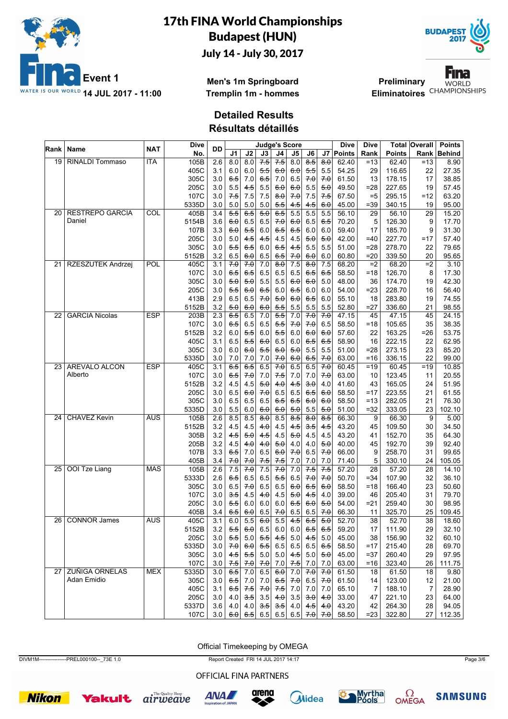



**Men's 1m Springboard Tremplin 1m - hommes**

**Preliminary** Eliminatoires<sup>CHAMPIONSHIPS</sup>

**Fina WORLD** 

**Detailed Results**

**Résultats détaillés**

| Rank            | Name                   | <b>NAT</b> | Dive  | DD                      |            |                         |                 |                     | <b>Judge's Score</b> |                        |              | Dive           | Dive   |               | <b>Total Overall</b> | <b>Points</b> |
|-----------------|------------------------|------------|-------|-------------------------|------------|-------------------------|-----------------|---------------------|----------------------|------------------------|--------------|----------------|--------|---------------|----------------------|---------------|
|                 |                        |            | No.   |                         | J1         | J2                      | J3              | J4                  | J5                   | J6                     | J7           | Points         | Rank   | <b>Points</b> | Rank                 | <b>Behind</b> |
| 19              | <b>RINALDI Tommaso</b> | <b>ITA</b> | 105B  | 2.6                     | 8.0        | 8.0                     | $7-5$           | 7.5                 | 8.0                  | $\overline{8.5}$       | 8.0          | 62.40          | $=13$  | 62.40         | $=13$                | 8.90          |
|                 |                        |            | 405C  | 3.1                     | 6.0        | 6.0                     | 5.5             | 6.0                 | 60                   | 5.5                    | 5.5          | 54.25          | 29     | 116.65        | 22                   | 27.35         |
|                 |                        |            | 305C  | 3.0                     | 6.5        | 7.0                     | 6.5             | 7.0                 | 6.5                  | 70                     | 7.0          | 61.50          | 13     | 178.15        | 17                   | 38.85         |
|                 |                        |            | 205C  | 3.0                     | 5.5        | 4.5                     | 5.5             | 6.0                 | 6.0                  | 5.5                    | 5.0          | 49.50          | $= 28$ | 227.65        | 19                   | 57.45         |
|                 |                        |            | 107C  | 3.0                     | 7.5        | 7.5                     | 7.5             | $\theta$ . $\theta$ | 7.0                  | 7.5                    | $7-5$        | 67.50          | $= 5$  | 295.15        | $=12$                | 63.20         |
|                 |                        |            | 5335D | 3.0                     | 5.0        | 5.0                     | 5.0             | 5.5                 | 4.5                  | 4.5                    | 6.0          | 45.00          | $= 39$ | 340.15        | 19                   | 95.00         |
| 20 <sub>1</sub> | <b>RESTREPO GARCIA</b> | COL        | 405B  | 3.4                     | 5.5        | $6-5$                   | 50              | $6-5$               | 5.5                  | 5.5                    | 5.5          | 56.10          | 29     | 56.10         | 29                   | 15.20         |
|                 | Daniel                 |            | 5154B | 3.6                     | 6.0        | 6.5                     | 6.5             | 70                  | 6.0                  | 6.5                    | 6.5          | 70.20          | 5      | 126.30        | 9                    | 17.70         |
|                 |                        |            | 107B  | 3.3                     | 6.0        | 5.5                     | 6.0             | 6.5                 | 6.5                  | 6.0                    | 6.0          | 59.40          | 17     | 185.70        | 9                    | 31.30         |
|                 |                        |            | 205C  | 3.0                     | 5.0        | 4.5                     | 4.5             | 4.5                 | 4.5                  | 5.0                    | 5.0          | 42.00          | $=40$  | 227.70        | $=17$                | 57.40         |
|                 |                        |            | 305C  | 3.0                     | 5.5        | 6.5                     | 6.0             | 65                  | $4-5$                | 5.5                    | 5.5          | 51.00          | $= 28$ | 278.70        | 22                   | 79.65         |
|                 |                        |            | 5152B | 3.2                     | 6.5        | 6.0                     | 6.5             | 6.5                 | 7.0                  | 6.0                    | 6.0          | 60.80          | $= 20$ | 339.50        | 20                   | 95.65         |
| 21 <sup>1</sup> | RZESZUTEK Andrzej      | <b>POL</b> | 405C  | 3.1                     | 70         | 70                      | 7.0             | 8.0                 | 7.5                  | $\overline{8.0}$       | 7.5          | 68.20          | $=2$   | 68.20         | $=2$                 | 3.10          |
|                 |                        |            | 107C  | 3.0                     | 6.5        | 6.5                     | 6.5             | 6.5                 | 6.5                  | 6.5                    | 6.5          | 58.50          | $=18$  | 126.70        | 8                    | 17.30         |
|                 |                        |            | 305C  | 3.0                     | 5.0        | 5.0                     | 5.5             | 5.5                 | 6.0                  | 6.0                    | 5.0          | 48.00          | 36     | 174.70        | 19                   | 42.30         |
|                 |                        |            | 205C  | 3.0                     | 5.5        | 6.0                     | 6.5             | 6.0                 | 6.5                  | 6.0                    | 6.0          | 54.00          | $= 23$ | 228.70        | 16                   | 56.40         |
|                 |                        |            | 413B  | 2.9                     | 6.5        | 6.5                     | 70              | 5.0                 | 6.0                  | 6.5                    | 6.0          | 55.10          | 18     | 283.80        | 19                   | 74.55         |
|                 |                        |            | 5152B | 3.2                     | 5.0        | 6.0                     | 6.0             | 5.5                 | 5.5                  | 5.5                    | 5.5          | 52.80          | =27    | 336.60        | 21                   | 98.55         |
| 22              | <b>GARCIA Nicolas</b>  | <b>ESP</b> | 203B  | 2.3                     | 6.5        | 6.5                     | 7.0             | 5.5                 | 7.0                  | 70                     | 70           | 47.15          | 45     | 47.15         | 45                   | 24.15         |
|                 |                        |            | 107C  | 3.0                     | 6.5        | 6.5                     | 6.5             | 5.5                 | 7.0                  | 70                     | 6.5          | 58.50          | $=18$  | 105.65        | 35                   | 38.35         |
|                 |                        |            | 5152B | 3.2                     | 6.0        | 5.5                     | 6.0             | 5.5                 | 6.0                  | 6.0                    | 6.0          | 57.60          | 22     | 163.25        | $= 26$               | 53.75         |
|                 |                        |            | 405C  | 3.1                     | 6.5        | 5.5                     | 6.0             | 6.5                 | 6.0                  | 6.5                    | 6.5          | 58.90          | 16     | 222.15        | 22                   | 62.95         |
|                 |                        |            | 305C  | 3.0                     | 6.0        | 6.0                     | 5.5             | 6.0                 | 5.0                  | 5.5                    | 5.5          | 51.00          | $= 28$ | 273.15        | 23                   | 85.20         |
|                 |                        |            | 5335D | 3.0                     | 7.0        | 7.0                     | 7.0             | 7.0                 | 6.0                  | 6.5                    | 7.0          | 63.00          | $=16$  | 336.15        | 22                   | 99.00         |
|                 | 23 AREVALO ALCON       | <b>ESP</b> | 405C  | 3.1                     | 6.5        | $6-5$                   | 6.5             | 70                  | 6.5                  | 6.5                    | 70           | 60.45          | $=19$  | 60.45         | $=19$                | 10.85         |
|                 | Alberto                |            | 107C  | 3.0                     | 6.5        | 70                      | 7.0             | $7-5$               | 7.0                  | 7.0                    | 70           | 63.00          | 10     | 123.45        | 11                   | 20.55         |
|                 |                        |            | 5152B | 3.2                     | 4.5        | 4.5                     | 5.0             | 4.0                 | 4.5                  | 3.0                    | 4.0          | 41.60          | 43     | 165.05        | 24                   | 51.95         |
|                 |                        |            | 205C  | 3.0                     | 6.5        | 60                      | 70              | 6.5                 | 6.5                  | 6.5                    | 6.0          | 58.50          | $=17$  | 223.55        | 21                   | 61.55         |
|                 |                        |            | 305C  | 3.0                     | 6.5        | 6.5                     | 6.5             | 65                  | $6-5$                | 6.0                    | 6.0          | 58.50          | $=13$  | 282.05        | 21                   | 76.30         |
|                 |                        |            | 5335D | 3.0                     | 5.5        | 6.0                     | 6.0             | 6.0                 | 5.0                  | 5.5                    | 5.0          | 51.00          | $=32$  | 333.05        | 23                   | 102.10        |
| 24 I            | <b>CHAVEZ Kevin</b>    | <b>AUS</b> | 105B  | 2.6                     | 8.5        | 8.5                     | $\overline{80}$ | 8.5                 | $\overline{85}$      | $\overline{8.0}$       | 8.5          | 66.30          | 9      | 66.30         | 9                    | 5.00          |
|                 |                        |            | 5152B | 3.2                     | 4.5        | 4.5                     | 4.0             | 4.5                 | $4-5$                | $3-5$                  | $4-5$        | 43.20          | 45     | 109.50        | 30                   | 34.50         |
|                 |                        |            | 305B  | 3.2                     | 4.5        | 5.0                     | 4.5             | 4.5                 | 5.0                  | 4.5                    | 4.5          | 43.20          | 41     | 152.70        | 35                   | 64.30         |
|                 |                        |            | 205B  | 3.2                     | 4.5        | 4.0                     | 4.0             | 5.0                 | 4.0                  | 4.0                    | 5.0          | 40.00          | 45     | 192.70        | 39                   | 92.40         |
|                 |                        |            | 107B  | 3.3                     | 6.5        | 7.0                     | 6.5             | 60                  | 70                   | 6.5                    | 7.0          | 66.00          | 9      | 258.70        | 31                   | 99.65         |
|                 |                        |            | 405B  | 3.4                     |            |                         |                 |                     |                      |                        |              |                | 5      | 330.10        | 24                   | 105.05        |
| 25 I            | <b>OOI</b> Tze Liang   | <b>MAS</b> | 105B  | 2.6                     | 7.0<br>7.5 | 7.0<br>70               | 7.5<br>7.5      | 7.5<br>70           | 7.0<br>7.0           | 7.0<br>7.5             | 7.0<br>$7-5$ | 71.40<br>57.20 | 28     | 57.20         | 28                   | 14.10         |
|                 |                        |            | 5333D | 2.6                     | 6.5        | 6.5                     | 6.5             | 5.5                 | 6.5                  | 70                     | 70           | 50.70          | $= 34$ | 107.90        | 32                   | 36.10         |
|                 |                        |            | 305C  | 3.0                     | 6.5        | 70                      | 6.5             | 6.5                 | 6.0                  | 6.5                    | 6.0          | 58.50          | $=18$  | 166.40        | 23                   | 50.60         |
|                 |                        |            |       |                         |            | 4.5                     | 4.0             |                     |                      | $4-5$                  | 4.0          | 39.00          |        |               |                      |               |
|                 |                        |            | 107C  | 3.0                     | 3.5        |                         |                 | 4.5                 | 5.0                  |                        |              |                | 46     | 205.40        | 31                   | 79.70         |
|                 |                        |            | 205C  | 3.0                     | 5.5        | 6.0                     | 6.0             | 6.0                 | 6.5                  | $6\theta$              | 5.0          | 54.00          | $= 21$ | 259.40        | 30                   | 98.95         |
|                 | 26 CONNOR James        | <b>AUS</b> | 405B  | 3.4<br>$\overline{3.1}$ | 6.5        | 6.0<br>$\overline{5.5}$ | 6.5             | 7.0                 | 6.5                  | 6.5                    | 7.0          | 66.30          | 11     | 325.70        | 25                   | 109.45        |
|                 |                        |            | 405C  |                         | 6.0        |                         | 6.0             | 5.5                 | 4.5                  | $6-5$                  | 5.0          | 52.70          | 38     | 52.70         | 38                   | 18.60         |
|                 |                        |            | 5152B | 3.2                     | 5.5        | 6.0                     | 6.5             | 6.0                 | 6.0                  | 6.5                    | 6.5          | 59.20          | 17     | 111.90        | 29                   | 32.10         |
|                 |                        |            | 205C  | 3.0                     | 5.5        | 5.0                     | 5.5             | 4.5                 | 5.0                  | 4.5                    | 5.0          | 45.00          | 38     | 156.90        | 32                   | 60.10         |
|                 |                        |            | 5335D | 3.0                     | 7.0        | 6.0                     | 5.5             | 6.5                 | 6.5                  | 6.5                    | 6.5          | 58.50          | $=17$  | 215.40        | 28                   | 69.70         |
|                 |                        |            | 305C  | 3.0                     | 4.5        | 5.5                     | 5.0             | 5.0                 | 4.5                  | 5.0                    | 5.0          | 45.00          | $= 37$ | 260.40        | 29                   | 97.95         |
|                 |                        |            | 107C  | 3.0                     | 7.5        | 7.0                     | 7.0             | 7.0                 | 7.5                  | 7.0                    | 7.0          | 63.00          | $=16$  | 323.40        | 26                   | 111.75        |
|                 | 27 ZUÑIGA ORNELAS      | MEX        | 5335D | 3.0                     | 6.5        | 7.0                     | 6.5             | 6.0                 | 7.0                  | 70                     | 70           | 61.50          | 18     | 61.50         | 18                   | 9.80          |
|                 | Adan Emidio            |            | 305C  | 3.0                     | 6.5        | 7.0                     | 7.0             | $6-5$               | 7.0                  | 6.5                    | 7.0          | 61.50          | 14     | 123.00        | 12                   | 21.00         |
|                 |                        |            | 405C  | 3.1                     | 6.5        | 7.5                     | 70              | 7.5                 | 7.0                  | 7.0                    | 7.0          | 65.10          | 7      | 188.10        | 7                    | 28.90         |
|                 |                        |            | 205C  | 3.0                     | 4.0        | 3.5                     | 3.5             | 4.0                 | 3.5                  | $\left  \cdot \right $ | 4.0          | 33.00          | 47     | 221.10        | 23                   | 64.00         |
|                 |                        |            | 5337D | 3.6                     | 4.0        | 4.0                     | 3.5             | 3.5                 | 4.0                  | $4-5$                  | 4.0          | 43.20          | 42     | 264.30        | 28                   | 94.05         |
|                 |                        |            | 107C  | 3.0                     |            | 6.0   6.5               | 6.5             |                     | 6.5   6.5            | 7.0                    | 7.0          | 58.50          | $=23$  | 322.80        | 27                   | 112.35        |

Official Timekeeping by OMEGA

DIVM1M----------------PREL000100--\_73E 1.0 Report Created FRI 14 JUL 2017 14:17 Page 3/6

OFFICIAL FINA PARTNERS













**SAMSUNG**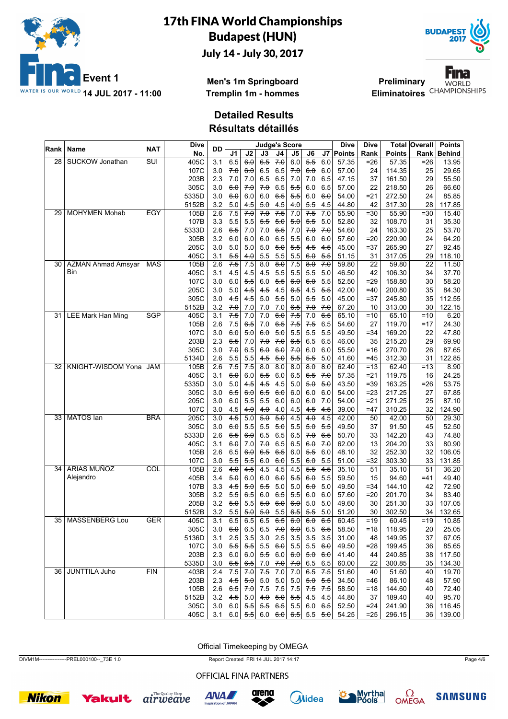



**Men's 1m Springboard Tremplin 1m - hommes**

**Preliminary** Eliminatoires<sup>CHAMPIONSHIPS</sup>

Fina **WORLD** 

**Detailed Results**

**Résultats détaillés**

| Rank            | Name                      | <b>NAT</b> | <b>Dive</b> | <b>DD</b>        |                 |                  |                  |         | <b>Judge's Score</b> |                                                               |                  | Dive        | Dive            |               | Total Overall   | <b>Points</b> |
|-----------------|---------------------------|------------|-------------|------------------|-----------------|------------------|------------------|---------|----------------------|---------------------------------------------------------------|------------------|-------------|-----------------|---------------|-----------------|---------------|
|                 |                           |            | No.         |                  | J1              | J2               | J3               | J4      | J5                   | J6                                                            |                  | J7   Points | Rank            | <b>Points</b> | Rank            | <b>Behind</b> |
| $\overline{28}$ | <b>SUCKOW Jonathan</b>    | SUI        | 405C        | 3.1              | 6.5             | 6.0              | 6.5              | 70      | 6.0                  | 5.5                                                           | 6.0              | 57.35       | $=26$           | 57.35         | $= 26$          | 13.95         |
|                 |                           |            | 107C        | 3.0              | 70              | <del>6.0</del>   | 6.5              | 6.5     | 7.0                  | 6.0                                                           | 6.0              | 57.00       | 24              | 114.35        | 25              | 29.65         |
|                 |                           |            | 203B        | 2.3              | 7.0             | 7.0              | 6.5              | 6.5     | 7.0                  | 7.0                                                           | 6.5              | 47.15       | 37              | 161.50        | 29              | 55.50         |
|                 |                           |            | 305C        | 3.0              | 6.0             | 70               | 70               | 6.5     | 5.5                  | 6.0                                                           | 6.5              | 57.00       | 22              | 218.50        | 26              | 66.60         |
|                 |                           |            | 5335D       | 3.0              | 60              | 6.0              | 6.0              | 6.5     | 5.5                  | 6.0                                                           | 6.0              | 54.00       | $=21$           | 272.50        | 24              | 85.85         |
|                 |                           |            | 5152B       | 3.2              | 5.0             | 4.5              | 5.0              | 4.5     | 4.0                  | 5.5                                                           | 4.5              | 44.80       | 42              | 317.30        | 28              | 117.85        |
| 29              | <b>MOHYMEN Mohab</b>      | <b>EGY</b> | 105B        | 2.6              | 7.5             | 70               | 70               | $7-5$   | 7.0                  | 7.5                                                           | 7.0              | 55.90       | $=30$           | 55.90         | $= 30$          | 15.40         |
|                 |                           |            | 107B        | 3.3              | 5.5             | 5.5              | 5.5              | 5.0     | 5.0                  | 5.5                                                           | $5.0$            | 52.80       | 32              | 108.70        | 31              | 35.30         |
|                 |                           |            | 5333D       | 2.6              | 6.5             | 7.0              | 7.0              | 6.5     | 7.0                  | 7.0                                                           | 7.0              | 54.60       | 24              | 163.30        | 25              | 53.70         |
|                 |                           |            | 305B        | 3.2              | 60              | 6.0              | 6.0              | 6.5     | 5.5                  | 6.0                                                           | 6.0              | 57.60       | $=20$           | 220.90        | 24              | 64.20         |
|                 |                           |            | 205C        | 3.0              | 5.0             | 5.0              | 5.0              | 5.0     | 5.5                  | 4.5                                                           | 4.5              | 45.00       | $= 37$          | 265.90        | 27              | 92.45         |
|                 |                           |            | 405C        | 3.1              | 5.5             | 4.θ              | 5.5              | 5.5     | 5.5                  | 6.0                                                           | 5.5              | 51.15       | 31              | 317.05        | 29              | 118.10        |
| 30              | <b>AZMAN Ahmad Amsyar</b> | <b>MAS</b> | 105B        | 2.6              | 7.5             | 7.5              | 8.0              | 8.0     | 7.5                  | 8.0                                                           | 7.0              | 59.80       | $\overline{22}$ | 59.80         | $\overline{22}$ | 11.50         |
|                 | Bin                       |            | 405C        | 3.1              | $4-5$           | 4.5              | 4.5              | 5.5     | 5.5                  | 5.5                                                           | 5.0              | 46.50       | 42              | 106.30        | 34              | 37.70         |
|                 |                           |            | 107C        | 3.0              | 6.0             | 5.5              | 6.0              | 5.5     | 6.0                  | 6.0                                                           | 5.5              | 52.50       | $= 29$          | 158.80        | 30              | 58.20         |
|                 |                           |            | 205C        | 3.0              | 5.0             | 4.5              | $4-5$            | 4.5     | 6.5                  | 4.5                                                           | 5.5              | 42.00       | $=40$           | 200.80        | 35              | 84.30         |
|                 |                           |            | 305C        | 3.0              | 4.5             | 4.5              | 5.0              | 5.5     | 5.0                  | $5-5$                                                         | 5.0              | 45.00       | $= 37$          | 245.80        | 35              | 112.55        |
|                 |                           |            | 5152B       | 3.2              | 7.0             | 7.0              | 7.0              | 7.0     | 6.5                  | 70                                                            | 7.0              | 67.20       | 10              | 313.00        | 30              | 122.15        |
| 31              | <b>LEE Mark Han Ming</b>  | <b>SGP</b> | 405C        | 3.1              | 7.5             | 7.0              | 7.0              | 6.0     | $7-5$                | 7.0                                                           | 6.5              | 65.10       | $=10$           | 65.10         | $=10$           | 6.20          |
|                 |                           |            | 105B        | 2.6              | 7.5             | 6.5              | 7.0              | 6.5     | 7.5                  | 7.5                                                           | 6.5              | 54.60       | 27              | 119.70        | $=17$           | 24.30         |
|                 |                           |            | 107C        | 3.0              | 6.0             | 5.0              | 6.0              | 5.0     | 5.5                  | 5.5                                                           | 5.5              | 49.50       | $= 34$          | 169.20        | 22              | 47.80         |
|                 |                           |            | 203B        | 2.3              | 6.5             | 7.0              | 7.0              | 7.0     | 6.5                  | 6.5                                                           | 6.5              | 46.00       | 35              | 215.20        | 29              | 69.90         |
|                 |                           |            | 305C        | 3.0              | 70              | 6.5              | 6.0              | 6.0     | 70                   | 6.0                                                           | 6.0              | 55.50       | $=16$           | 270.70        | 26              | 87.65         |
|                 |                           |            | 5134D       | 2.6              | 5.5             | 5.5              | 4.5              | 5.0     | 5.5                  | 5.5                                                           | 5.0              | 41.60       | $=45$           | 312.30        | 31              | 122.85        |
| 32              | KNIGHT-WISDOM Yona        | <b>JAM</b> | 105B        | 2.6              | 7.5             | 7.5              | 8.0              | 8.0     | 8.0                  | $\overline{8.0}$                                              | 8.0              | 62.40       | $=13$           | 62.40         | $=13$           | 8.90          |
|                 |                           |            | 405C        | 3.1              | 60              | 6.0              | 5.5              | 6.0     | 6.5                  | 6.5                                                           | 7.0              | 57.35       | $= 21$          | 119.75        | 16              | 24.25         |
|                 |                           |            | 5335D       | 3.0              | 5.0             | 4.5              | 4.5              | 4.5     | 5.0                  | 5.0                                                           | 5.0              | 43.50       | $= 39$          | 163.25        | $= 26$          | 53.75         |
|                 |                           |            | 305C        | 3.0              | 6.5             | 6.0              | 6.5              | 6.0     | 6.0                  | 6.0                                                           | 6.0              | 54.00       | $=23$           | 217.25        | 27              | 67.85         |
|                 |                           |            | 205C        | 3.0              | 6.0             | 5.5              | 5.5              | 6.0     | 6.0                  | 6.0                                                           | 70               | 54.00       | $= 21$          | 271.25        | 25              | 87.10         |
|                 |                           |            | 107C        | 3.0              | 4.5             | 4.0              | 4.0              | 4.0     | 4.5                  | 4.5                                                           | 4.5              | 39.00       | $=47$           | 310.25        | 32              | 124.90        |
| 33              | <b>MATOS</b> lan          | <b>BRA</b> | 205C        | $\overline{3.0}$ | 4.5             | 5.0              | $\overline{5.0}$ | 5.0     | 4.5                  | $\overline{40}$                                               | 4.5              | 42.00       | 50              | 42.00         | 50              | 29.30         |
|                 |                           |            | 305C        | 3.0              | 60              | 5.5              | 5.5              | 5.0     | 5.5                  | 5.0                                                           | 5.5              | 49.50       | 37              | 91.50         | 45              | 52.50         |
|                 |                           |            | 5333D       | 2.6              | 6.5             | 60               | 6.5              | 6.5     | 6.5                  | 7.0                                                           | 6.5              | 50.70       | 33              | 142.20        | 43              | 74.80         |
|                 |                           |            | 405C        | 3.1              | 6.0             | 7.0              | 7.0              | 6.5     | 6.5                  | 6.0                                                           | 7.0              | 62.00       | 13              | 204.20        | 33              | 80.90         |
|                 |                           |            | 105B        | 2.6              | 6.5             | 6.0              | 6.5              | 6.5     | 6.0                  | 5.5                                                           | 6.0              | 48.10       | 32              | 252.30        | 32              | 106.05        |
|                 |                           |            | 107C        | 3.0              | 5.5             | 5.5              | 6.0              | 6.0     | 5.5                  | 6.0                                                           | 5.5              | 51.00       | $=32$           | 303.30        | 33              | 131.85        |
| 34              | <b>ARIAS MUÑOZ</b>        | COL        | 105B        | 2.6              | $\overline{40}$ | $\overline{4.5}$ | 4.5              | 4.5     | 4.5                  | $\overline{5.5}$                                              | $\overline{4.5}$ | 35.10       | $\overline{51}$ | 35.10         | $\overline{51}$ | 36.20         |
|                 | Alejandro                 |            | 405B        | 3.4              | 50              | 6.0              | 6.0              | 6.0     | 5.5                  | 6.0                                                           | 5.5              | 59.50       | 15              | 94.60         | $=41$           | 49.40         |
|                 |                           |            | 107B        | 3.3              | 4.5             | <del>5.0</del>   | 5.5              | 5.0     | 5.0                  | 6.0                                                           | 5.0              | 49.50       | $= 34$          | 144.10        | 42              | 72.90         |
|                 |                           |            | 305B        | 3.2              | 5.5             | 6.5              | 6.0              | 6.5     | 5.5                  | 6.0                                                           | 6.0              | 57.60       | $=20$           | 201.70        | 34              | 83.40         |
|                 |                           |            | 205B        | 3.2              | 50              | 5.5              | 5.0              | 6.0     | 60                   | 5.0                                                           | 5.0              | 49.60       | 30              | 251.30        | 33              | 107.05        |
|                 |                           |            | 5152B       | 3.2              | 5.5             | 5.0              | 5.0              | 5.5     | 6.5                  | 5.5                                                           | 5.0              | 51.20       | 30              | 302.50        | 34              | 132.65        |
|                 | 35 MASSENBERG Lou         | <b>GER</b> | 405C        | $\overline{3.1}$ | 6.5             | 6.5              | 6.5              | $6-5$   | 60                   | 60                                                            | 6.5              | 60.45       | $=19$           | 60.45         | $=19$           | 10.85         |
|                 |                           |            | 305C        | 3.0              |                 | $6.0$ 6.5        | 6.5              | 70      | 6.0                  |                                                               | 6.5 6.5          | 58.50       | =18             | 118.95        | 20              | 25.05         |
|                 |                           |            | 5136D       | 3.1              | $2-5$           | 3.5              | 3.0              | 2.5     | 3.5                  | 3.5                                                           | 3.5              | 31.00       | 48              | 149.95        | 37              | 67.05         |
|                 |                           |            | 107C        | 3.0              | 5.5             | 5.5              | 5.5              | 6.0     | 5.5                  | 5.5                                                           | 6.0              | 49.50       | $= 28$          | 199.45        | 36              | 85.65         |
|                 |                           |            | 203B        | 2.3              | 6.0             | 6.0              | 5.5              | 6.0     | 6.0                  | 5.0                                                           | 6.0              | 41.40       | 44              | 240.85        | 38              | 117.50        |
|                 |                           |            | 5335D       | 3.0              | 6.5             | 6.5              | 7.0              | 7.0     | 7.0                  | 6.5                                                           | 6.5              | 60.00       | 22              | 300.85        | 35              | 134.30        |
|                 | 36 JUNTTILA Juho          | FIN        | 403B        | 2.4              | 7.5             | 7.0              | $7-5$            | 7.0     | 7.0                  | 6.5                                                           | 7.5              | 51.60       | 40              | 51.60         | 40              | 19.70         |
|                 |                           |            | 203B        | 2.3              | 4.5             | 5.0              | 5.0              | 5.0     | 5.0                  | 5.0                                                           | 5.5              | 34.50       | $=46$           | 86.10         | 48              | 57.90         |
|                 |                           |            | 105B        | 2.6              | 6.5             | 7.0              | 7.5              | 7.5     | 7.5                  | 7.5                                                           | 7.5              | 58.50       | $=18$           | 144.60        | 40              | 72.40         |
|                 |                           |            | 5152B       | 3.2              | 4.5             | 5.0              | 4.0              | 5.0     | 5.5                  | 4.5                                                           | 4.5              | 44.80       | 37              | 189.40        | 40              | 95.70         |
|                 |                           |            | 305C        | 3.0              | 6.0             | 5.5              |                  | 5.5 6.5 | 5.5                  |                                                               | 6.0 $6.5$        | 52.50       | $= 24$          | 241.90        | 36              | 116.45        |
|                 |                           |            | 405C        | 3.1              |                 | 6.0   5.5        |                  |         |                      | $6.0 \,   \, 6.0 \,   \, 6.5 \,   \, 5.5 \,   \, 5.0 \,   \,$ |                  | 54.25       | $=25$           | 296.15        | 36              | 139.00        |

Official Timekeeping by OMEGA

DIVM1M----------------PREL000100--\_73E 1.0 Report Created FRI 14 JUL 2017 14:17 Page 4/6

OFFICIAL FINA PARTNERS















**SAMSUNG**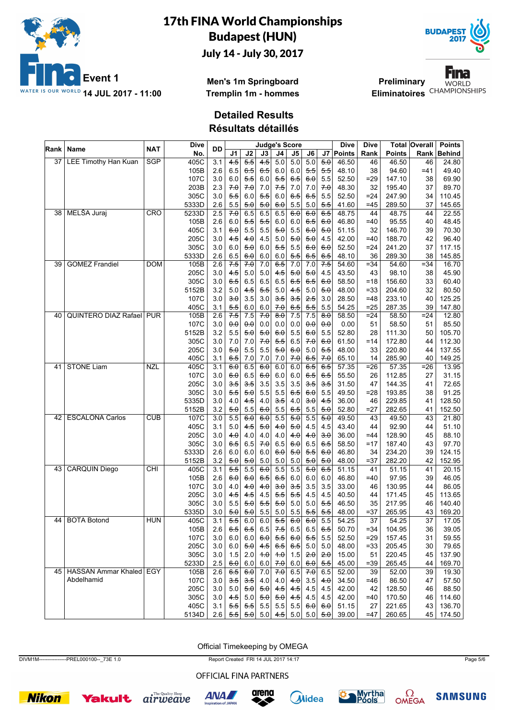



**Men's 1m Springboard Tremplin 1m - hommes**

**Fina Preliminary WORLD** Eliminatoires<sup>CHAMPIONSHIPS</sup>

**Detailed Results**

**Résultats détaillés**

|      | ∣Rank ∣ Name                   | <b>NAT</b> | Dive  | DD               |                     |                     |            |            | <b>Judge's Score</b> |                     |                     | <b>Dive</b> | <b>Dive</b> |               | Total Overall   | <b>Points</b> |
|------|--------------------------------|------------|-------|------------------|---------------------|---------------------|------------|------------|----------------------|---------------------|---------------------|-------------|-------------|---------------|-----------------|---------------|
|      |                                |            | No.   |                  | J1                  | J2                  | J3         | J4         | J5                   | J6                  |                     | J7   Points | Rank        | <b>Points</b> | Rank            | <b>Behind</b> |
| 37 I | <b>LEE Timothy Han Kuan</b>    | <b>SGP</b> | 405C  | 3.1              | 4.5                 | 5.5                 | 4.5        | 5.0        | 5.0                  | 5.0                 | 5.0                 | 46.50       | 46          | 46.50         | 46              | 24.80         |
|      |                                |            | 105B  | 2.6              | 6.5                 | $6-5$               | 6.5        | 6.0        | 6.0                  | 5.5                 | 5.5                 | 48.10       | 38          | 94.60         | $=41$           | 49.40         |
|      |                                |            | 107C  | 3.0              | 6.0                 | 5.5                 | 6.0        | 5.5        | 6.5                  | 6.0                 | 5.5                 | 52.50       | $= 29$      | 147.10        | 38              | 69.90         |
|      |                                |            | 203B  | 2.3              | 7.0                 | 70                  | 7.0        | 7.5        | 7.0                  | 7.0                 | 70                  | 48.30       | 32          | 195.40        | 37              | 89.70         |
|      |                                |            | 305C  | 3.0              | 5.5                 | 6.0                 | 5.5        | 6.0        | 6.5                  | 6.5                 | 5.5                 | 52.50       | $= 24$      | 247.90        | 34              | 110.45        |
|      |                                |            | 5333D | 2.6              | 5.5                 | 5.0                 | 5.0        | 6.0        | 5.5                  | 5.0                 | 5.5                 | 41.60       | $=45$       | 289.50        | 37              | 145.65        |
| 38 I | MELŠA Juraj                    | CRO        | 5233D | 2.5              | 70                  | 6.5                 | 6.5        | 6.5        | 60                   | 6.0                 | 6.5                 | 48.75       | 44          | 48.75         | 44              | 22.55         |
|      |                                |            | 105B  | 2.6              | 6.0                 | 5.5                 | 5.5        | 6.0        | 6.0                  | 6.5                 | 6.0                 | 46.80       | $=40$       | 95.55         | 40              | 48.45         |
|      |                                |            | 405C  | 3.1              | 6.0                 | 5.5                 | 5.5        | 5.0        | 5.5                  | 6.0                 | 5.0                 | 51.15       | 32          | 146.70        | 39              | 70.30         |
|      |                                |            | 205C  | 3.0              | 4.5                 | 4.0                 | 4.5        | 5.0        | 5.0                  | 5.0                 | 4.5                 | 42.00       | $=40$       | 188.70        | 42              | 96.40         |
|      |                                |            | 305C  | 3.0              | 6.0                 | 5.0                 | 6.0        | 5.5        | 5.5                  | 6.0                 | 6.0                 | 52.50       | =24         | 241.20        | 37              | 117.15        |
|      |                                |            | 5333D | 2.6              | 6.5                 | 6.0                 | 6.0        | 6.0        | 5.5                  | 6.5                 | 6.5                 | 48.10       | 36          | 289.30        | 38              | 145.85        |
| 39   | <b>GOMEZ Frandiel</b>          | <b>DOM</b> | 105B  | 2.6              | 7.5                 | 70                  | 7.0        | 6.5        | 7.0                  | 7.0                 | 7.5                 | 54.60       | $= 34$      | 54.60         | $= 34$          | 16.70         |
|      |                                |            | 205C  | 3.0              | 4.5                 | 5.0                 | 5.0        | 4.5        | 5.0                  | 5.0                 | 4.5                 | 43.50       | 43          | 98.10         | 38              | 45.90         |
|      |                                |            | 305C  | 3.0              | 6.5                 | 6.5                 | 6.5        | 6.5        | 6.5                  | 6.5                 | 6.0                 | 58.50       | $=18$       | 156.60        | 33              | 60.40         |
|      |                                |            | 5152B | 3.2              | 5.0                 | 4.5                 | 5.5        | 5.0        | 4.5                  | $5.0$               | 5.0                 | 48.00       | $=33$       | 204.60        | 32              | 80.50         |
|      |                                |            | 107C  | 3.0              | 3.0                 | 3.5                 | 3.0        | 3.5        | 3.5                  | 2.5                 | 3.0                 | 28.50       | $=48$       | 233.10        | 40              | 125.25        |
|      |                                |            | 405C  | 3.1              | 5.5                 | 6.0                 | 6.0        | 7.0        | 6.5                  | 5.5                 | 5.5                 | 54.25       | $=25$       | 287.35        | 39              | 147.80        |
| 40   | QUINTERO DIAZ Rafael PUR       |            | 105B  | 2.6              | 7.5                 | 7.5                 | 70         | $8\theta$  | 7.5                  | 7.5                 | 8.0                 | 58.50       | $=24$       | 58.50         | $= 24$          | 12.80         |
|      |                                |            | 107C  | 3.0              | $\theta$ . $\theta$ | $\theta$ . $\theta$ | 0.0        | 0.0        | 0.0                  | $\theta$ . $\theta$ | $\theta$ . $\theta$ | 0.00        | 51          | 58.50         | 51              | 85.50         |
|      |                                |            | 5152B | 3.2              | 5.5                 | 5.0                 | 5.0        | 6.0        | 5.5                  | 6.0                 | 5.5                 | 52.80       | 28          | 111.30        | 50              | 105.70        |
|      |                                |            | 305C  | 3.0              | 7.0                 | 7.0                 | 70         | 5.5        | 6.5                  | 7.0                 | 6.0                 | 61.50       | $=14$       | 172.80        | 44              | 112.30        |
|      |                                |            | 205C  | 3.0              | 5.0                 | 5.5                 | 5.5        | 5.0        | 6.0                  | 5.0                 | 5.5                 | 48.00       | 33          | 220.80        | 44              | 137.55        |
|      |                                |            | 405C  | 3.1              | 6.5                 | 7.0                 | 7.0        | 7.0        | 7.0                  | 6.5                 | 7.0                 | 65.10       | 14          | 285.90        | 40              | 149.25        |
| 41   | <b>STONE Liam</b>              | <b>NZL</b> | 405C  | $\overline{3.1}$ | 6.0                 | 6.5                 | 60         | 6.0        | 6.0                  | 6.5                 | 6.5                 | 57.35       | $= 26$      | 57.35         | $= 26$          | 13.95         |
|      |                                |            | 107C  | 3.0              | 6.0                 | 6.5                 | 6.0        | 6.0        | 6.0                  | 6.5                 | 6.5                 | 55.50       | 26          | 112.85        | 27              | 31.15         |
|      |                                |            | 205C  | 3.0              | 3.5                 | 3.5                 | 3.5        | 3.5        | 3.5                  | 3.5                 | 3.5                 | 31.50       | 47          | 144.35        | 41              | 72.65         |
|      |                                |            | 305C  | 3.0              | 5.5                 | 5.0                 | 5.5        | 5.5        | 6.5                  | 6.0                 | 5.5                 | 49.50       | $= 28$      | 193.85        | 38              | 91.25         |
|      |                                |            | 5335D | 3.0              | 4.0                 | $4-5$               | 4.0        | 3.5        | 4.0                  | 3.0                 | 4.5                 | 36.00       | 46          | 229.85        | 41              | 128.50        |
|      |                                |            | 5152B | 3.2              | 5.0                 | 5.5                 | 6.0        | 5.5        | 6.5                  | 5.5                 | 5.0                 | 52.80       | $= 27$      | 282.65        | 41              | 152.50        |
|      | 42 ESCALONA Carlos             | CUB        | 107C  | 3.0              | 5.5                 | 6.0                 | 60         | 5.5        | 50                   | 5.5                 | 5.0                 | 49.50       | 43          | 49.50         | 43              | 21.80         |
|      |                                |            | 405C  | 3.1              | 5.0                 | 4.5                 | 5.0        | 4.0        | 5.0                  | 4.5                 | 4.5                 | 43.40       | 44          | 92.90         | 44              | 51.10         |
|      |                                |            | 205C  | 3.0              | 4.0                 | 4.0                 | 4.0        | 4.0        | 4.0                  | 4.0                 | 3.0                 | 36.00       | $=44$       | 128.90        | 45              | 88.10         |
|      |                                |            | 305C  | 3.0              | 6.5                 | 6.5                 | 7.0        | 6.5        | 6.0                  | 6.5                 | 6.5                 | 58.50       | $=17$       | 187.40        | 43              | 97.70         |
|      |                                |            | 5333D | 2.6              | 6.0                 | 6.0                 | 6.0        | 6.0        | 5.0                  | 5.5                 | 6.0                 | 46.80       | 34          | 234.20        | 39              | 124.15        |
|      |                                |            | 5152B | 3.2              | 5.0                 | 5.0                 | 5.0        | 5.0        | 5.0                  | 5.0                 | 5.0                 | 48.00       | =37         | 282.20        | 42              | 152.95        |
| 43   | <b>CARQUIN Diego</b>           | CHI        | 405C  | 3.1              | $\overline{5.5}$    | 5.5                 | 60         | 5.5        | 5.5                  | $\overline{5.0}$    | 6.5                 | 51.15       | 41          | 51.15         | 41              | 20.15         |
|      |                                |            | 105B  | 2.6              | 6.0                 | 60                  | 6.5        | 6.5        | 6.0                  | 6.0                 | 6.0                 | 46.80       | $=40$       | 97.95         | 39              | 46.05         |
|      |                                |            | 107C  | 3.0              | 4.0                 | 4.0                 | 4.0        | 3.0        | 3.5                  | 3.5                 | 3.5                 | 33.00       | 46          | 130.95        | 44              | 86.05         |
|      |                                |            | 205C  | 3.0              | 4.5                 | 4.5                 | 4.5        | 5.5        | 5.5                  | 4.5                 | 4.5                 | 40.50       | 44          | 171.45        | 45              | 113.65        |
|      |                                |            | 305C  | 3.0              | 5.5                 | 5.0                 | 5.5        | 5.0        | 5.0                  | 5.0                 | 5.5                 | 46.50       | 35          | 217.95        | 46              | 140.40        |
|      |                                |            | 5335D | 3.0              | 5.0                 | 5.0                 | 5.5        | 5.0        | $5.5\,$              | 5.5                 | 5.5                 | 48.00       | $= 37$      | 265.95        | 43              | 169.20        |
|      | 44 BOTA Botond                 | <b>HUN</b> | 405C  | $\overline{3.1}$ | $\overline{55}$     | 6.0                 | 6.0        | 5.5        | 60                   | 60                  | 5.5                 | 54.25       | 37          | 54.25         | $\overline{37}$ | 17.05         |
|      |                                |            | 105B  | 2.6              | 6.5                 | 6.5                 |            | $6.5$ 7.5  | 6.5                  | 6.5                 | 6.5                 | 50.70       | $= 34$      | 104.95        | 36              | 39.05         |
|      |                                |            | 107C  | 3.0              | 6.0                 | 6.0                 | 6.0        | 5.5        | 6.0                  | 5.5                 | 5.5                 | 52.50       | $=29$       | 157.45        | 31              | 59.55         |
|      |                                |            | 205C  | 3.0              | $6.0\,$             | 5.0                 | 4.5        | 6.5        | 6.5                  | 5.0                 | 5.0                 | 48.00       | $= 33$      | 205.45        | 30              | 79.65         |
|      |                                |            | 305C  | 3.0              | 1.5                 | 2.0                 | $+.\theta$ | $+ \theta$ | 1.5                  | 2.0                 | 2.0                 | 15.00       | 51          | 220.45        | 45              | 137.90        |
|      |                                |            | 5233D | 2.5              | 6.0                 | 6.0                 | 6.0        | 7.0        | 6.0                  | 6.0                 | 5.5                 | 45.00       | $= 39$      | 265.45        | 44              | 169.70        |
|      | 45   HASSAN Ammar Khaled   EGY |            | 105B  | 2.6              | 6.5                 | 6.0                 | 7.0        | 7.0        | 6.5                  | 7.0                 | 6.5                 | 52.00       | 39          | 52.00         | 39              | 19.30         |
|      | Abdelhamid                     |            | 107C  | 3.0              | 3.5                 | 3.5                 | 4.0        | 4.0        | 4.0                  | 3.5                 | 4.0                 | 34.50       | $=46$       | 86.50         | 47              | 57.50         |
|      |                                |            | 205C  | 3.0              | 5.0                 | 5.0                 | 5.0        | 4.5        | 4.5                  | 4.5                 | 4.5                 | 42.00       | 42          | 128.50        | 46              | 88.50         |
|      |                                |            | 305C  | 3.0              | 4.5                 | $5.0\,$             | 5.0        | 5.0        | 4.5                  | 4.5                 | 4.5                 | 42.00       | $=40$       | 170.50        | 46              | 114.60        |
|      |                                |            | 405C  | 3.1              | 5.5                 | 5.5                 |            | $5.5$ 5.5  | 5.5                  | 6.0                 | 6.0                 | 51.15       | 27          | 221.65        | 43              | 136.70        |
|      |                                |            | 5134D | 2.6              |                     | $5.5$ 5.0           | 5.0        |            | $4.5$ 5.0 5.0        |                     | 5.0                 | 39.00       | $=47$       | 260.65        | 45              | 174.50        |
|      |                                |            |       |                  |                     |                     |            |            |                      |                     |                     |             |             |               |                 |               |

Official Timekeeping by OMEGA

DIVM1M----------------PREL000100--\_73E 1.0 Report Created FRI 14 JUL 2017 14:17 Page 5/6

OFFICIAL FINA PARTNERS